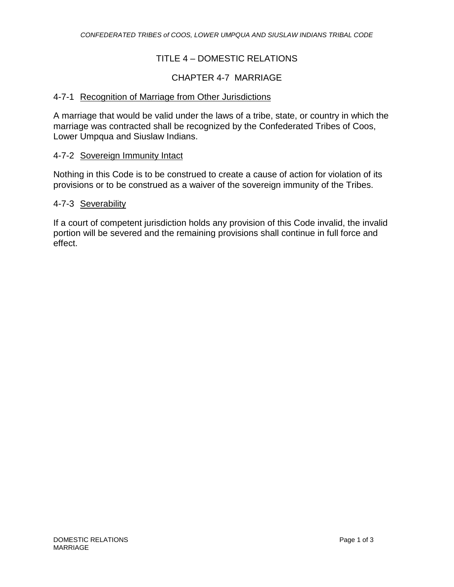## TITLE 4 – DOMESTIC RELATIONS

### CHAPTER 4-7 MARRIAGE

#### 4-7-1 Recognition of Marriage from Other Jurisdictions

A marriage that would be valid under the laws of a tribe, state, or country in which the marriage was contracted shall be recognized by the Confederated Tribes of Coos, Lower Umpqua and Siuslaw Indians.

#### 4-7-2 Sovereign Immunity Intact

Nothing in this Code is to be construed to create a cause of action for violation of its provisions or to be construed as a waiver of the sovereign immunity of the Tribes.

#### 4-7-3 Severability

If a court of competent jurisdiction holds any provision of this Code invalid, the invalid portion will be severed and the remaining provisions shall continue in full force and effect.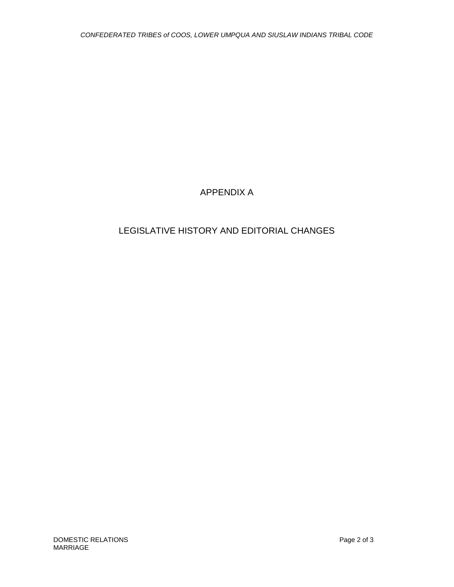# APPENDIX A

# LEGISLATIVE HISTORY AND EDITORIAL CHANGES